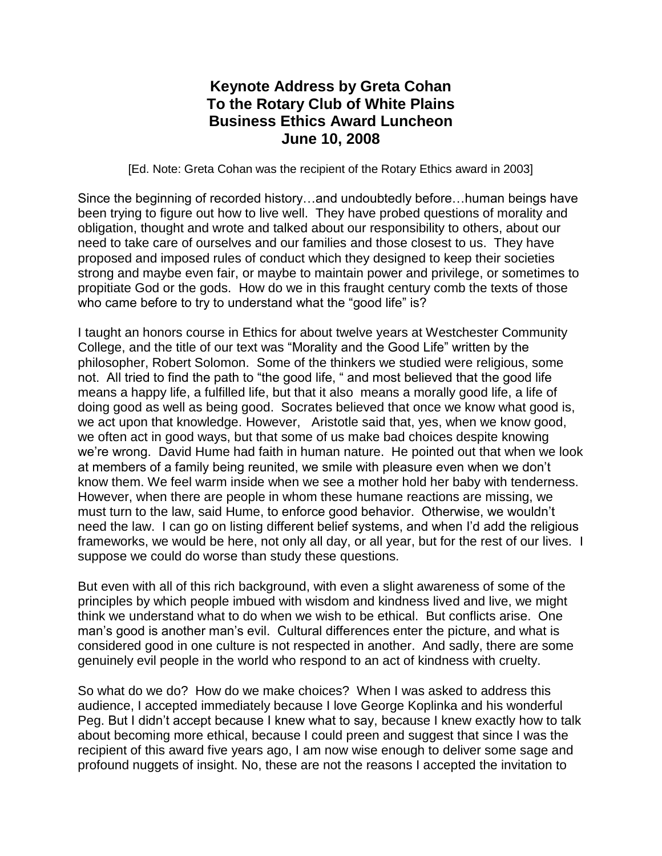## **Keynote Address by Greta Cohan To the Rotary Club of White Plains Business Ethics Award Luncheon June 10, 2008**

[Ed. Note: Greta Cohan was the recipient of the Rotary Ethics award in 2003]

Since the beginning of recorded history…and undoubtedly before…human beings have been trying to figure out how to live well. They have probed questions of morality and obligation, thought and wrote and talked about our responsibility to others, about our need to take care of ourselves and our families and those closest to us. They have proposed and imposed rules of conduct which they designed to keep their societies strong and maybe even fair, or maybe to maintain power and privilege, or sometimes to propitiate God or the gods. How do we in this fraught century comb the texts of those who came before to try to understand what the "good life" is?

I taught an honors course in Ethics for about twelve years at Westchester Community College, and the title of our text was "Morality and the Good Life" written by the philosopher, Robert Solomon. Some of the thinkers we studied were religious, some not. All tried to find the path to "the good life, " and most believed that the good life means a happy life, a fulfilled life, but that it also means a morally good life, a life of doing good as well as being good. Socrates believed that once we know what good is, we act upon that knowledge. However, Aristotle said that, yes, when we know good, we often act in good ways, but that some of us make bad choices despite knowing we're wrong. David Hume had faith in human nature. He pointed out that when we look at members of a family being reunited, we smile with pleasure even when we don't know them. We feel warm inside when we see a mother hold her baby with tenderness. However, when there are people in whom these humane reactions are missing, we must turn to the law, said Hume, to enforce good behavior. Otherwise, we wouldn't need the law. I can go on listing different belief systems, and when I'd add the religious frameworks, we would be here, not only all day, or all year, but for the rest of our lives. I suppose we could do worse than study these questions.

But even with all of this rich background, with even a slight awareness of some of the principles by which people imbued with wisdom and kindness lived and live, we might think we understand what to do when we wish to be ethical. But conflicts arise. One man's good is another man's evil. Cultural differences enter the picture, and what is considered good in one culture is not respected in another. And sadly, there are some genuinely evil people in the world who respond to an act of kindness with cruelty.

So what do we do? How do we make choices? When I was asked to address this audience, I accepted immediately because I love George Koplinka and his wonderful Peg. But I didn't accept because I knew what to say, because I knew exactly how to talk about becoming more ethical, because I could preen and suggest that since I was the recipient of this award five years ago, I am now wise enough to deliver some sage and profound nuggets of insight. No, these are not the reasons I accepted the invitation to